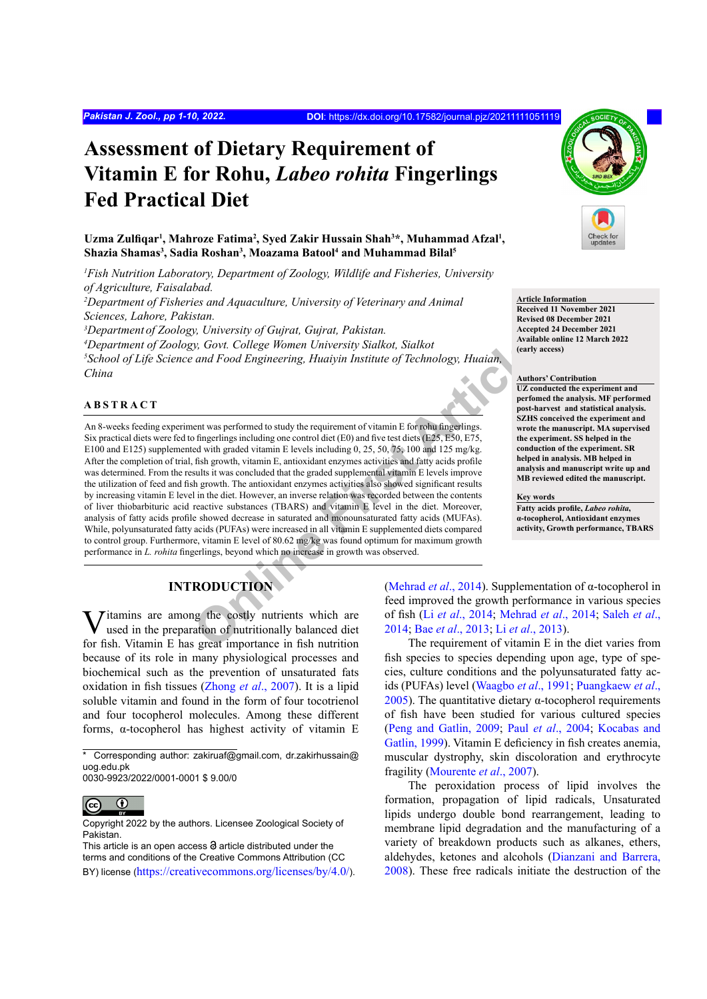# **Assessment of Dietary Requirement of Vitamin E for Rohu,** *Labeo rohita* **Fingerlings Fed Practical Diet**

Uzma Zulfiqar<sup>1</sup>, Mahroze Fatima<sup>2</sup>, Syed Zakir Hussain Shah<sup>3\*</sup>, Muhammad Afzal<sup>1</sup>, **Shazia Shamas3 , Sadia Roshan3 , Moazama Batool4 and Muhammad Bilal5**

*1 Fish Nutrition Laboratory, Department of Zoology, Wildlife and Fisheries, University of Agriculture, Faisalabad.*

<sup>2</sup>Department of Fisheries and Aquaculture, University of Veterinary and Animal *Sciences, Lahore, Pakistan.*

*3 Department of Zoology, University of Gujrat, Gujrat, Pakistan.*

*4 Department of Zoology, Govt. College Women University Sialkot, Sialkot 5 School of Life Science and Food Engineering, Huaiyin Institute of Technology, Huaian, China*

### **ABSTRACT**

**Conserved Articles** (Scale Women University Sialkot, Sialkot<br>
and Food Engineering, Huaiyin Institute of Technology, Huaian,<br>
entry<br>
and Food Engineering, Huaiyin Institute of Technology, Huaian,<br>
and Food Engineering, H An 8-weeks feeding experiment was performed to study the requirement of vitamin E for rohu fingerlings. Six practical diets were fed to fingerlings including one control diet (E0) and five test diets (E25, E50, E75, E100 and E125) supplemented with graded vitamin E levels including 0, 25, 50, 75, 100 and 125 mg/kg. After the completion of trial, fish growth, vitamin E, antioxidant enzymes activities and fatty acids profile was determined. From the results it was concluded that the graded supplemental vitamin E levels improve the utilization of feed and fish growth. The antioxidant enzymes activities also showed significant results by increasing vitamin E level in the diet. However, an inverse relation was recorded between the contents of liver thiobarbituric acid reactive substances (TBARS) and vitamin E level in the diet. Moreover, analysis of fatty acids profile showed decrease in saturated and monounsaturated fatty acids (MUFAs). While, polyunsaturated fatty acids (PUFAs) were increased in all vitamin E supplemented diets compared to control group. Furthermore, vitamin E level of 80.62 mg/kg was found optimum for maximum growth performance in *L. rohita* fingerlings, beyond which no increase in growth was observed.

# **INTRODUCTION**

Vitamins are among the costly nutrients which are used in the preparation of nutritionally balanced diet for fish. Vitamin E has great importance in fish nutrition because of its role in many physiological processes and biochemical such as the prevention of unsaturated fats oxidation in fish tissues ([Zhong](#page-9-0) *et al*., 2007). It is a lipid soluble vitamin and found in the form of four tocotrienol and four tocopherol molecules. Among these different forms, α-tocopherol has highest activity of vitamin E

0030-9923/2022/0001-0001 \$ 9.00/0



Copyright 2022 by the authors. Licensee Zoological Society of Pakistan.

This article is an open access  $\Theta$  article distributed under the terms and conditions of the Creative Commons Attribution (CC BY) license (https://creativecommons.org/licenses/by/4.0/).



# **Article Information**

**Received 11 November 2021 Revised 08 December 2021 Accepted 24 December 2021 Available online 12 March 2022 (early access)**

#### **Authors' Contribution**

**UZ conducted the experiment and perfomed the analysis. MF performed post-harvest and statistical analysis. SZHS conceived the experiment and wrote the manuscript. MA supervised the experiment. SS helped in the conduction of the experiment. SR helped in analysis. MB helped in analysis and manuscript write up and MB reviewed edited the manuscript.**

**Key words Fatty acids profile,** *Labeo rohita***, α-tocopherol, Antioxidant enzymes activity, Growth performance, TBARS**

(Mehrad *et al*., 2014). Supplementation of α-tocopherol in feed improved the growth performance in various species of fish (Li *et al*., 2014; Mehrad *et al*., 2014; [Saleh](#page-8-1) *et al*., 2014; Bae *et al*., 2013; Li *et al*., 2013).

The requirement of vitamin E in the diet varies from fish species to species depending upon age, type of species, culture conditions and the polyunsaturated fatty acids (PUFAs) level ([Waagbo](#page-9-1) *et al*., 1991; [Puangkaew](#page-8-2) *et al*., [2005\)](#page-8-2). The quantitative dietary α-tocopherol requirements of fish have been studied for various cultured species [\(Peng and Gatlin, 2009](#page-8-3); Paul *et al*[., 2004](#page-8-4); [Kocabas and](#page-7-2) [Gatlin, 1999\)](#page-7-2). Vitamin E deficiency in fish creates anemia, muscular dystrophy, skin discoloration and erythrocyte fragility ([Mourente](#page-8-5) *et al*., 2007).

The peroxidation process of lipid involves the formation, propagation of lipid radicals, Unsaturated lipids undergo double bond rearrangement, leading to membrane lipid degradation and the manufacturing of a variety of breakdown products such as alkanes, ethers, aldehydes, ketones and alcohols ([Dianzani and Barrera,](#page-6-1) [2008\)](#page-6-1). These free radicals initiate the destruction of the

<sup>\*</sup> Corresponding author: zakiruaf@gmail.com, dr.zakirhussain@ uog.edu.pk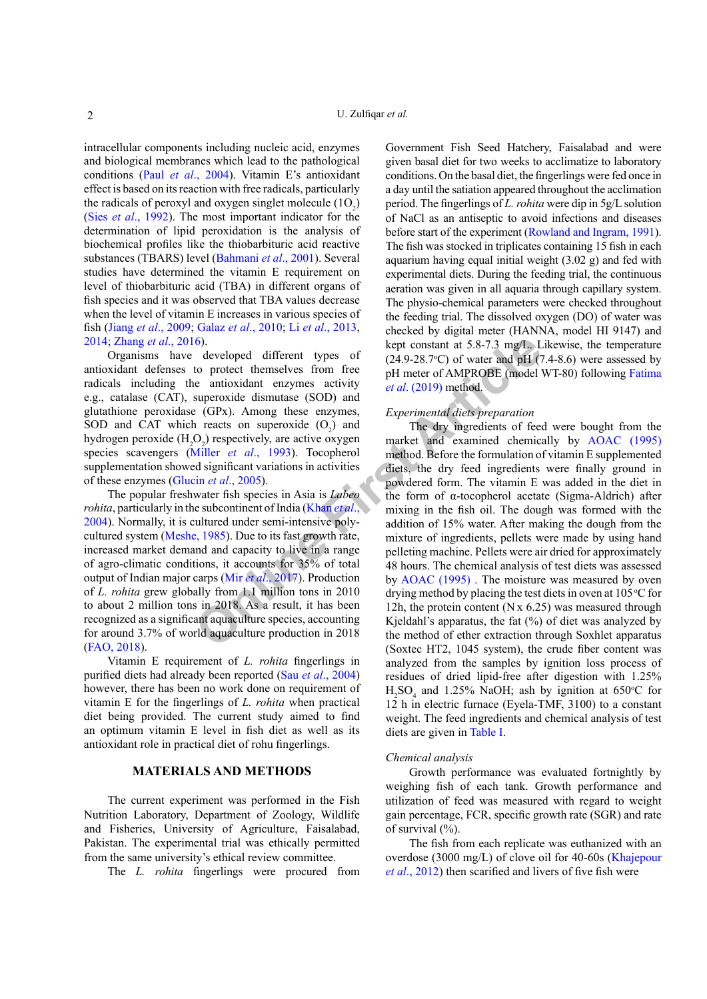intracellular components including nucleic acid, enzymes and biological membranes which lead to the pathological conditions (Paul *et al*[., 2004\)](#page-8-4). Vitamin E's antioxidant effect is based on its reaction with free radicals, particularly the radicals of peroxyl and oxygen singlet molecule  $(1O_2)$ (Sies *et al*[., 1992\)](#page-9-2). The most important indicator for the determination of lipid peroxidation is the analysis of biochemical profiles like the thiobarbituric acid reactive substances (TBARS) level [\(Bahmani](#page-6-2) *et al*., 2001). Several studies have determined the vitamin E requirement on level of thiobarbituric acid (TBA) in different organs of fish species and it was observed that TBA values decrease when the level of vitamin E increases in various species of fish (Jiang *et al*[., 2009](#page-7-3); Galaz *et al*[., 2010](#page-6-3); Li *et al*[., 2013,](#page-7-1) [2014](#page-7-0); [Zhang](#page-9-3) *et al*., 2016).

Organisms have developed different types of antioxidant defenses to protect themselves from free radicals including the antioxidant enzymes activity e.g., catalase (CAT), superoxide dismutase (SOD) and glutathione peroxidase (GPx). Among these enzymes, SOD and CAT which reacts on superoxide  $(O_2)$  and hydrogen peroxide  $(H_2O_2)$  respectively, are active oxygen species scavengers (Miller *et al*., 1993). Tocopherol supplementation showed significant variations in activities of these enzymes (Glucin *et al*., 2005).

The popular freshwater fish species in Asia is *Labeo rohita*, particularly in the subcontinent of India (Khan *et al.*, [2004\)](#page-7-5). Normally, it is cultured under semi-intensive polycultured system ([Meshe, 1985](#page-8-7)). Due to its fast growth rate, increased market demand and capacity to live in a range of agro-climatic conditions, it accounts for 35% of total output of Indian major carps (Mir *et al*., 2017). Production of *L. rohita* grew globally from 1.1 million tons in 2010 to about 2 million tons in 2018. As a result, it has been recognized as a significant aquaculture species, accounting for around 3.7% of world aquaculture production in 2018 [\(FAO, 2018](#page-6-4)).

Vitamin E requirement of *L. rohita* fingerlings in purified diets had already been reported (Sau *et al*[., 2004\)](#page-8-9) however, there has been no work done on requirement of vitamin E for the fingerlings of *L. rohita* when practical diet being provided. The current study aimed to find an optimum vitamin E level in fish diet as well as its antioxidant role in practical diet of rohu fingerlings.

# **MATERIALS AND METHODS**

The current experiment was performed in the Fish Nutrition Laboratory, Department of Zoology, Wildlife and Fisheries, University of Agriculture, Faisalabad, Pakistan. The experimental trial was ethically permitted from the same university's ethical review committee.

The *L. rohita* fingerlings were procured from

Government Fish Seed Hatchery, Faisalabad and were given basal diet for two weeks to acclimatize to laboratory conditions. On the basal diet, the fingerlings were fed once in a day until the satiation appeared throughout the acclimation period. The fingerlings of *L. rohita* were dip in 5g/L solution of NaCl as an antiseptic to avoid infections and diseases before start of the experiment [\(Rowland and Ingram, 1991](#page-8-10)). The fish was stocked in triplicates containing 15 fish in each aquarium having equal initial weight (3.02 g) and fed with experimental diets. During the feeding trial, the continuous aeration was given in all aquaria through capillary system. The physio-chemical parameters were checked throughout the feeding trial. The dissolved oxygen (DO) of water was checked by digital meter (HANNA, model HI 9147) and kept constant at 5.8-7.3 mg/L. Likewise, the temperature  $(24.9-28.7^{\circ}\text{C})$  of water and pH  $(7.4-8.6)$  were assessed by pH meter of AMPROBE (model WT-80) following [Fatima](#page-6-5) *et al*. (2019) method.

#### *Experimental diets preparation*

6). <br> **Solution** developed different types of the constant at 5.8-7.3 mg/L. L<br>
to protect themselves from free the artioxidant enzymes activity<br>
superoxide dismutase (SOD) and<br> **Experimental diets preparation**<br> **Experimen** The dry ingredients of feed were bought from the market and examined chemically by [AOAC \(1995\)](#page-6-6) method. Before the formulation of vitamin E supplemented diets, the dry feed ingredients were finally ground in powdered form. The vitamin E was added in the diet in the form of α-tocopherol acetate (Sigma-Aldrich) after mixing in the fish oil. The dough was formed with the addition of 15% water. After making the dough from the mixture of ingredients, pellets were made by using hand pelleting machine. Pellets were air dried for approximately 48 hours. The chemical analysis of test diets was assessed by AOAC (1995) . The moisture was measured by oven drying method by placing the test diets in oven at  $105^{\circ}$ C for 12h, the protein content ( $N \times 6.25$ ) was measured through Kjeldahl's apparatus, the fat  $(\%)$  of diet was analyzed by the method of ether extraction through Soxhlet apparatus (Soxtec HT2, 1045 system), the crude fiber content was analyzed from the samples by ignition loss process of residues of dried lipid-free after digestion with 1.25%  $H_2SO_4$  and 1.25% NaOH; ash by ignition at 650°C for 12 h in electric furnace (Eyela-TMF, 3100) to a constant weight. The feed ingredients and chemical analysis of test diets are given in [Table I.](#page-2-0)

#### *Chemical analysis*

Growth performance was evaluated fortnightly by weighing fish of each tank. Growth performance and utilization of feed was measured with regard to weight gain percentage, FCR, specific growth rate (SGR) and rate of survival (%).

The fish from each replicate was euthanized with an overdose (3000 mg/L) of clove oil for 40-60s ([Khajepour](#page-7-6) *et al*[., 2012\)](#page-7-6) then scarified and livers of five fish were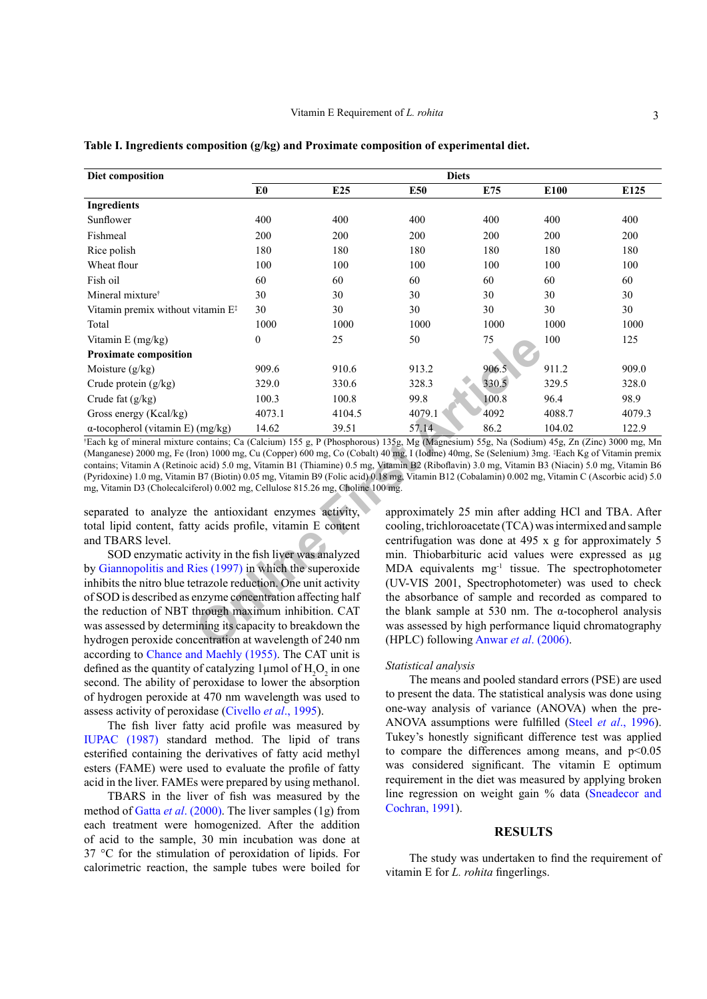| Diet composition                                                                                                                                                                                                                                                                                                                                                                                                                                                                                                                                                                                                                                                                                     |                |                 | <b>Diets</b>                                                                                                                                                                                                                                                                                                                                                |       |        |        |
|------------------------------------------------------------------------------------------------------------------------------------------------------------------------------------------------------------------------------------------------------------------------------------------------------------------------------------------------------------------------------------------------------------------------------------------------------------------------------------------------------------------------------------------------------------------------------------------------------------------------------------------------------------------------------------------------------|----------------|-----------------|-------------------------------------------------------------------------------------------------------------------------------------------------------------------------------------------------------------------------------------------------------------------------------------------------------------------------------------------------------------|-------|--------|--------|
|                                                                                                                                                                                                                                                                                                                                                                                                                                                                                                                                                                                                                                                                                                      | E <sub>0</sub> | E <sub>25</sub> | E50                                                                                                                                                                                                                                                                                                                                                         | E75   | E100   | E125   |
| <b>Ingredients</b>                                                                                                                                                                                                                                                                                                                                                                                                                                                                                                                                                                                                                                                                                   |                |                 |                                                                                                                                                                                                                                                                                                                                                             |       |        |        |
| Sunflower                                                                                                                                                                                                                                                                                                                                                                                                                                                                                                                                                                                                                                                                                            | 400            | 400             | 400                                                                                                                                                                                                                                                                                                                                                         | 400   | 400    | 400    |
| Fishmeal                                                                                                                                                                                                                                                                                                                                                                                                                                                                                                                                                                                                                                                                                             | 200            | 200             | 200                                                                                                                                                                                                                                                                                                                                                         | 200   | 200    | 200    |
| Rice polish                                                                                                                                                                                                                                                                                                                                                                                                                                                                                                                                                                                                                                                                                          | 180            | 180             | 180                                                                                                                                                                                                                                                                                                                                                         | 180   | 180    | 180    |
| Wheat flour                                                                                                                                                                                                                                                                                                                                                                                                                                                                                                                                                                                                                                                                                          | 100            | 100             | 100                                                                                                                                                                                                                                                                                                                                                         | 100   | 100    | 100    |
| Fish oil                                                                                                                                                                                                                                                                                                                                                                                                                                                                                                                                                                                                                                                                                             | 60             | 60              | 60                                                                                                                                                                                                                                                                                                                                                          | 60    | 60     | 60     |
| Mineral mixture <sup>†</sup>                                                                                                                                                                                                                                                                                                                                                                                                                                                                                                                                                                                                                                                                         | 30             | 30              | 30                                                                                                                                                                                                                                                                                                                                                          | 30    | 30     | 30     |
| Vitamin premix without vitamin E <sup>#</sup>                                                                                                                                                                                                                                                                                                                                                                                                                                                                                                                                                                                                                                                        | 30             | 30              | 30                                                                                                                                                                                                                                                                                                                                                          | 30    | 30     | 30     |
| Total                                                                                                                                                                                                                                                                                                                                                                                                                                                                                                                                                                                                                                                                                                | 1000           | 1000            | 1000                                                                                                                                                                                                                                                                                                                                                        | 1000  | 1000   | 1000   |
| Vitamin E (mg/kg)                                                                                                                                                                                                                                                                                                                                                                                                                                                                                                                                                                                                                                                                                    | $\theta$       | 25              | 50                                                                                                                                                                                                                                                                                                                                                          | 75    | 100    | 125    |
| <b>Proximate composition</b>                                                                                                                                                                                                                                                                                                                                                                                                                                                                                                                                                                                                                                                                         |                |                 |                                                                                                                                                                                                                                                                                                                                                             |       |        |        |
| Moisture (g/kg)                                                                                                                                                                                                                                                                                                                                                                                                                                                                                                                                                                                                                                                                                      | 909.6          | 910.6           | 913.2                                                                                                                                                                                                                                                                                                                                                       | 906.5 | 911.2  | 909.0  |
| Crude protein (g/kg)                                                                                                                                                                                                                                                                                                                                                                                                                                                                                                                                                                                                                                                                                 | 329.0          | 330.6           | 328.3                                                                                                                                                                                                                                                                                                                                                       | 330.5 | 329.5  | 328.0  |
| Crude fat (g/kg)                                                                                                                                                                                                                                                                                                                                                                                                                                                                                                                                                                                                                                                                                     | 100.3          | 100.8           | 99.8                                                                                                                                                                                                                                                                                                                                                        | 100.8 | 96.4   | 98.9   |
| Gross energy (Kcal/kg)                                                                                                                                                                                                                                                                                                                                                                                                                                                                                                                                                                                                                                                                               | 4073.1         | 4104.5          | 4079.1                                                                                                                                                                                                                                                                                                                                                      | 4092  | 4088.7 | 4079.3 |
| $\alpha$ -tocopherol (vitamin E) (mg/kg)                                                                                                                                                                                                                                                                                                                                                                                                                                                                                                                                                                                                                                                             | 14.62          | 39.51           | 57.14                                                                                                                                                                                                                                                                                                                                                       | 86.2  | 104.02 | 122.9  |
| <sup>†</sup> Each kg of mineral mixture contains; Ca (Calcium) 155 g, P (Phosphorous) 135g, Mg (Magnesium) 55g, Na (Sodium) 45g, Zn (Zinc) 3000 mg, Mn<br>(Manganese) 2000 mg, Fe (Iron) 1000 mg, Cu (Copper) 600 mg, Co (Cobalt) 40 mg, I (Iodine) 40mg, Se (Selenium) 3mg, ‡Each Kg of Vitamin premix<br>contains; Vitamin A (Retinoic acid) 5.0 mg, Vitamin B1 (Thiamine) 0.5 mg, Vitamin B2 (Riboflavin) 3.0 mg, Vitamin B3 (Niacin) 5.0 mg, Vitamin B6<br>(Pyridoxine) 1.0 mg, Vitamin B7 (Biotin) 0.05 mg, Vitamin B9 (Folic acid) 0.18 mg, Vitamin B12 (Cobalamin) 0.002 mg, Vitamin C (Ascorbic acid) 5.0<br>mg, Vitamin D3 (Cholecalciferol) 0.002 mg, Cellulose 815.26 mg, Choline 100 mg. |                |                 |                                                                                                                                                                                                                                                                                                                                                             |       |        |        |
| separated to analyze the antioxidant enzymes activity,<br>total lipid content, fatty acids profile, vitamin E content<br>and TBARS level.<br>SOD enzymatic activity in the fish liver was analyzed<br>by Giannopolitis and Ries (1997) in which the superoxide<br>inhibits the nitro blue tetrazole reduction. One unit activity                                                                                                                                                                                                                                                                                                                                                                     |                |                 | approximately 25 min after adding HCl and TBA. After<br>cooling, trichloroacetate (TCA) was intermixed and sample<br>centrifugation was done at 495 x g for approximately 5<br>min. Thiobarbituric acid values were expressed as µg<br>MDA equivalents mg <sup>-1</sup> tissue. The spectrophotometer<br>(UV-VIS 2001, Spectrophotometer) was used to check |       |        |        |
| of SOD is described as enzyme concentration affecting half<br>the reduction of NBT through maximum inhibition. CAT<br>was assessed by determining its capacity to breakdown the<br>hydrogen peroxide concentration at wavelength of 240 nm                                                                                                                                                                                                                                                                                                                                                                                                                                                           |                |                 | the absorbance of sample and recorded as compared to<br>the blank sample at 530 nm. The $\alpha$ -tocopherol analysis<br>was assessed by high performance liquid chromatography<br>(HPLC) following Anwar et al. (2006).                                                                                                                                    |       |        |        |

<span id="page-2-0"></span>**Table I. Ingredients composition (g/kg) and Proximate composition of experimental diet.**

SOD enzymatic activity in the fish liver was analyzed by [Giannopolitis and Ries \(1997\)](#page-7-7) in which the superoxide inhibits the nitro blue tetrazole reduction. One unit activity of SOD is described as enzyme concentration affecting half the reduction of NBT through maximum inhibition. CAT was assessed by determining its capacity to breakdown the hydrogen peroxide concentration at wavelength of 240 nm according to [Chance and Maehly \(1955\)](#page-6-7). The CAT unit is defined as the quantity of catalyzing  $1 \mu$ mol of  $H_2O_2$  in one second. The ability of peroxidase to lower the absorption of hydrogen peroxide at 470 nm wavelength was used to assess activity of peroxidase [\(Civello](#page-6-8) *et al*., 1995).

The fish liver fatty acid profile was measured by [IUPAC \(1987\)](#page-7-8) standard method. The lipid of trans esterified containing the derivatives of fatty acid methyl esters (FAME) were used to evaluate the profile of fatty acid in the liver. FAMEs were prepared by using methanol.

TBARS in the liver of fish was measured by the method of Gatta *et al*[. \(2000\).](#page-7-9) The liver samples (1g) from each treatment were homogenized. After the addition of acid to the sample, 30 min incubation was done at 37 °C for the stimulation of peroxidation of lipids. For calorimetric reaction, the sample tubes were boiled for

#### *Statistical analysis*

The means and pooled standard errors (PSE) are used to present the data. The statistical analysis was done using one-way analysis of variance (ANOVA) when the pre-ANOVA assumptions were fulfilled (Steel *et al*[., 1996](#page-9-4)). Tukey's honestly significant difference test was applied to compare the differences among means, and  $p<0.05$ was considered significant. The vitamin E optimum requirement in the diet was measured by applying broken line regression on weight gain % data ([Sneadecor and](#page-9-5) [Cochran, 1991\)](#page-9-5).

## **RESULTS**

The study was undertaken to find the requirement of vitamin E for *L. rohita* fingerlings.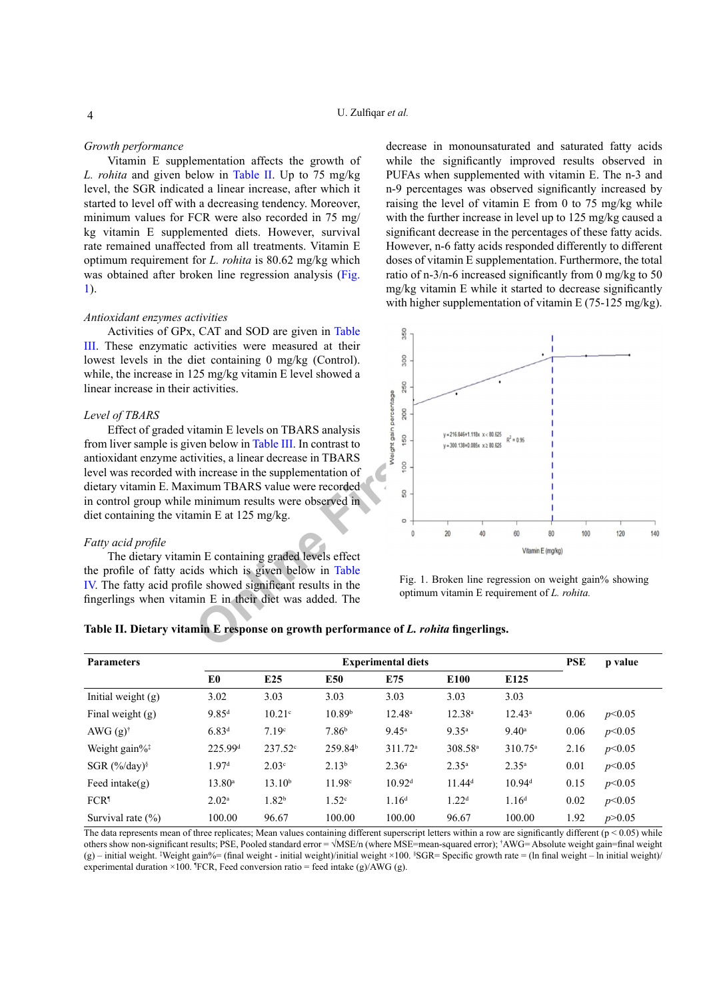#### *Growth performance*

Vitamin E supplementation affects the growth of *L. rohita* and given below in [Table II](#page-3-0). Up to 75 mg/kg level, the SGR indicated a linear increase, after which it started to level off with a decreasing tendency. Moreover, minimum values for FCR were also recorded in 75 mg/ kg vitamin E supplemented diets. However, survival rate remained unaffected from all treatments. Vitamin E optimum requirement for *L. rohita* is 80.62 mg/kg which was obtained after broken line regression analysis [\(Fig.](#page-3-1) [1](#page-3-1)).

# *Antioxidant enzymes activities*

Activities of GPx, CAT and SOD are given in [Table](#page-4-0) [III.](#page-4-0) These enzymatic activities were measured at their lowest levels in the diet containing 0 mg/kg (Control). while, the increase in 125 mg/kg vitamin E level showed a linear increase in their activities.

#### *Level of TBARS*

Effect of graded vitamin E levels on TBARS analysis from liver sample is given below in Table III. In contrast to antioxidant enzyme activities, a linear decrease in TBARS level was recorded with increase in the supplementation of dietary vitamin E. Maximum TBARS value were recorded in control group while minimum results were observed in diet containing the vitamin E at 125 mg/kg.

#### *Fatty acid profile*

The dietary vitamin E containing graded levels effect the profile of fatty acids which is given below in Table [IV.](#page-4-1) The fatty acid profile showed significant results in the fingerlings when vitamin E in their diet was added. The

decrease in monounsaturated and saturated fatty acids while the significantly improved results observed in PUFAs when supplemented with vitamin E. The n-3 and n-9 percentages was observed significantly increased by raising the level of vitamin E from 0 to 75 mg/kg while with the further increase in level up to 125 mg/kg caused a significant decrease in the percentages of these fatty acids. However, n-6 fatty acids responded differently to different doses of vitamin E supplementation. Furthermore, the total ratio of n-3/n-6 increased significantly from 0 mg/kg to 50 mg/kg vitamin E while it started to decrease significantly with higher supplementation of vitamin E (75-125 mg/kg).



<span id="page-3-1"></span>Fig. 1. Broken line regression on weight gain% showing optimum vitamin E requirement of *L. rohita.*

<span id="page-3-0"></span>

| Table II. Dietary vitamin E response on growth performance of <i>L. rohita</i> fingerlings. |  |  |  |  |
|---------------------------------------------------------------------------------------------|--|--|--|--|
|---------------------------------------------------------------------------------------------|--|--|--|--|

| <b>Parameters</b>                    |                     | <b>Experimental diets</b> |                     |                    |                     |                    |      | p value  |
|--------------------------------------|---------------------|---------------------------|---------------------|--------------------|---------------------|--------------------|------|----------|
|                                      | E <sub>0</sub>      | E25                       | E50                 | E75                | E100                | E125               |      |          |
| Initial weight $(g)$                 | 3.02                | 3.03                      | 3.03                | 3.03               | 3.03                | 3.03               |      |          |
| Final weight $(g)$                   | $9.85$ <sup>d</sup> | 10.21 <sup>c</sup>        | 10.89 <sup>b</sup>  | $12.48^{\circ}$    | $12.38^{a}$         | $12.43^a$          | 0.06 | p<0.05   |
| AWG $(g)$ <sup>†</sup>               | $6.83^{d}$          | 7.19 <sup>c</sup>         | 7.86 <sup>b</sup>   | $9.45^{\circ}$     | $9.35^{\rm a}$      | $9.40^{\circ}$     | 0.06 | p<0.05   |
| Weight gain $\%^{\ddagger}$          | 225.99 <sup>d</sup> | $237.52^{\circ}$          | 259.84 <sup>b</sup> | $311.72^a$         | 308.58 <sup>a</sup> | $310.75^{\circ}$   | 2.16 | p<0.05   |
| SGR $(\frac{9}{6}$ day) <sup>§</sup> | 1.97 <sup>d</sup>   | 2.03 <sup>c</sup>         | 2.13 <sup>b</sup>   | 2.36 <sup>a</sup>  | $2.35^{\rm a}$      | $2.35^{\rm a}$     | 0.01 | p<0.05   |
| Feed intake( $g$ )                   | $13.80^{\circ}$     | 13.10 <sup>b</sup>        | 11.98c              | 10.92 <sup>d</sup> | $11.44^d$           | 10.94 <sup>d</sup> | 0.15 | p<0.05   |
| FCR <sup>1</sup>                     | 2.02 <sup>a</sup>   | 1.82 <sup>b</sup>         | 1.52 <sup>c</sup>   | 1.16 <sup>d</sup>  | 1.22 <sup>d</sup>   | 1.16 <sup>d</sup>  | 0.02 | p<0.05   |
| Survival rate $(\% )$                | 100.00              | 96.67                     | 100.00              | 100.00             | 96.67               | 100.00             | 1.92 | p > 0.05 |

The data represents mean of three replicates; Mean values containing different superscript letters within a row are significantly different ( $p < 0.05$ ) while others show non-significant results; PSE, Pooled standard error = √MSE/n (where MSE=mean-squared error); † AWG= Absolute weight gain=final weight (g) – initial weight. ‡ Weight gain%= (final weight - initial weight)/initial weight ×100. § SGR= Specific growth rate = (ln final weight – ln initial weight)/ experimental duration  $\times 100$ . <sup>1</sup>FCR, Feed conversion ratio = feed intake (g)/AWG (g).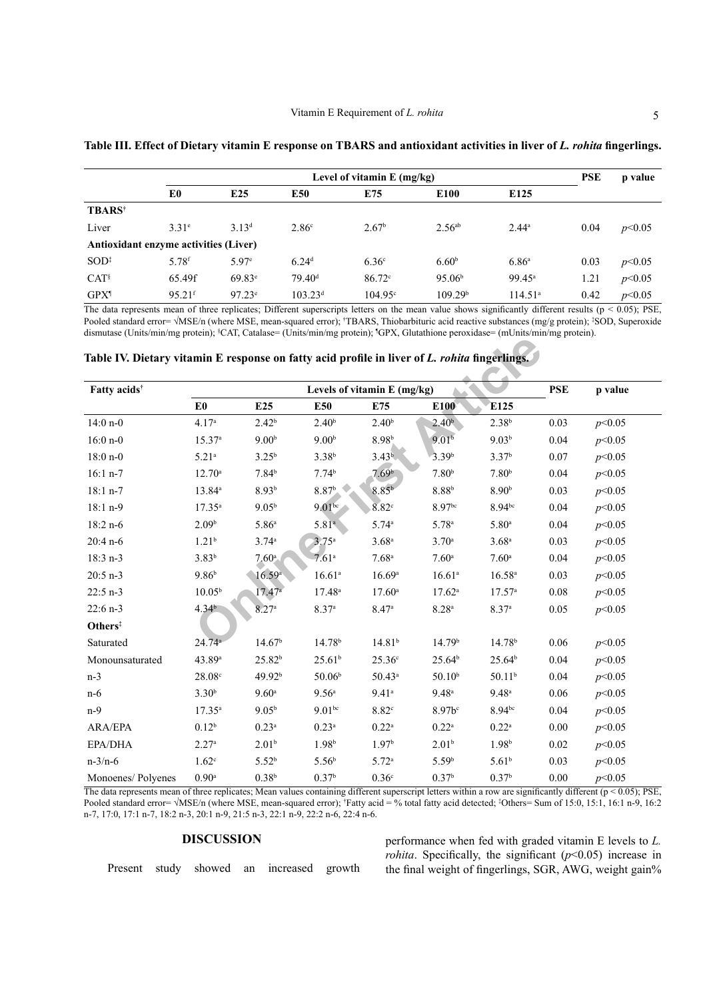|                                       |                      |                   |                     | Level of vitamin $E$ (mg/kg) |                     |                   | <b>PSE</b> | p value |
|---------------------------------------|----------------------|-------------------|---------------------|------------------------------|---------------------|-------------------|------------|---------|
|                                       | E0                   | E25               | E50                 | E75                          | E <sub>100</sub>    | E <sub>125</sub>  |            |         |
| <b>TBARS</b> <sup>†</sup>             |                      |                   |                     |                              |                     |                   |            |         |
| Liver                                 | $3.31^e$             | $3.13^{d}$        | 2.86 <sup>c</sup>   | 2.67 <sup>b</sup>            | 2.56 <sup>ab</sup>  | $2.44^a$          | 0.04       | p<0.05  |
| Antioxidant enzyme activities (Liver) |                      |                   |                     |                              |                     |                   |            |         |
| $SOD^{\ddagger}$                      | 5.78 <sup>f</sup>    | 5.97 <sup>e</sup> | 6.24 <sup>d</sup>   | 6.36 <sup>c</sup>            | 6.60 <sup>b</sup>   | 6.86 <sup>a</sup> | 0.03       | p<0.05  |
| CAT <sup>§</sup>                      | 65.49f               | $69.83^{\circ}$   | 79.40 <sup>d</sup>  | $86.72^\circ$                | 95.06 <sup>b</sup>  | $99.45^{\circ}$   | 1.21       | p<0.05  |
| GPX <sup>1</sup>                      | $95.21$ <sup>f</sup> | $97.23^e$         | $103.23^{\text{d}}$ | $104.95^{\circ}$             | 109.29 <sup>b</sup> | $114.51^{\circ}$  | 0.42       | p<0.05  |

<span id="page-4-0"></span>**Table III. Effect of Dietary vitamin E response on TBARS and antioxidant activities in liver of** *L. rohita* **fingerlings.**

The data represents mean of three replicates; Different superscripts letters on the mean value shows significantly different results ( $p < 0.05$ ); PSE, Pooled standard error= √MSE/n (where MSE, mean-squared error); †TBARS, Thiobarbituric acid reactive substances (mg/g protein); ‡SOD, Superoxide dismutase (Units/min/mg protein); <sup>§</sup>CAT, Catalase= (Units/min/mg protein); <sup>6</sup>GPX, Glutathione peroxidase= (mUnits/min/mg protein).

<span id="page-4-1"></span>

| Table IV. Dietary vitamin E response on fatty acid profile in liver of L. rohita fingerlings. |  |  |  |
|-----------------------------------------------------------------------------------------------|--|--|--|
|                                                                                               |  |  |  |

| Fatty acids <sup>†</sup> |                     |                    |                    | Levels of vitamin E (mg/kg) |                    |                     | <b>PSE</b> | p value |
|--------------------------|---------------------|--------------------|--------------------|-----------------------------|--------------------|---------------------|------------|---------|
|                          | E <sub>0</sub>      | E <sub>25</sub>    | E50                | E75                         | E100               | E125                |            |         |
| $14:0 n-0$               | 4.17 <sup>a</sup>   | 2.42 <sup>b</sup>  | 2.40 <sup>b</sup>  | 2.40 <sup>b</sup>           | 2.40 <sup>b</sup>  | $2.38^{b}$          | 0.03       | p<0.05  |
| $16:0 n-0$               | 15.37a              | 9.00 <sup>b</sup>  | 9.00 <sup>b</sup>  | 8.98 <sup>b</sup>           | 9.01 <sup>b</sup>  | 9.03 <sup>b</sup>   | 0.04       | p<0.05  |
| $18:0 n-0$               | $5.21^{a}$          | $3.25^{b}$         | 3.38 <sup>b</sup>  | 3.43 <sup>b</sup>           | 3.39 <sup>b</sup>  | 3.37 <sup>b</sup>   | 0.07       | p<0.05  |
| $16:1 n-7$               | $12.70^a$           | $7.84^{b}$         | 7.74 <sup>b</sup>  | 7.69 <sup>b</sup>           | 7.80 <sup>b</sup>  | 7.80 <sup>b</sup>   | 0.04       | p<0.05  |
| $18:1 n-7$               | 13.84 <sup>a</sup>  | 8.93 <sup>b</sup>  | $8.87b$ .          | 8.85 <sup>b</sup>           | 8.88 <sup>b</sup>  | 8.90 <sup>b</sup>   | 0.03       | p<0.05  |
| 18:1 n-9                 | $17.35^{a}$         | 9.05 <sup>b</sup>  | $9.01^{bc}$        | $8.82^\circ$                | 8.97bc             | $8.94^{bc}$         | 0.04       | p<0.05  |
| 18:2 n-6                 | 2.09 <sup>b</sup>   | 5.86 <sup>a</sup>  | 5.81 <sup>a</sup>  | 5.74 <sup>a</sup>           | 5.78 <sup>a</sup>  | $5.80$ <sup>a</sup> | 0.04       | p<0.05  |
| $20:4 n-6$               | $1.21^{b}$          | 3.74a              | $3.75^{\circ}$     | 3.68 <sup>a</sup>           | 3.70 <sup>a</sup>  | $3.68^{a}$          | 0.03       | p<0.05  |
| 18:3 n-3                 | $3.83^{b}$          | $7.60^{\circ}$     | 7.61 <sup>a</sup>  | $7.68$ <sup>a</sup>         | 7.60 <sup>a</sup>  | 7.60 <sup>a</sup>   | 0.04       | p<0.05  |
| $20:5 n-3$               | 9.86 <sup>b</sup>   | 16.59a             | 16.61 <sup>a</sup> | 16.69a                      | 16.61 <sup>a</sup> | $16.58^{a}$         | 0.03       | p<0.05  |
| $22:5 n-3$               | $10.05^{b}$         | $17.47^{\circ}$    | $17.48^a$          | $17.60^{\circ}$             | $17.62^a$          | 17.57 <sup>a</sup>  | 0.08       | p<0.05  |
| $22:6 n-3$               | 4.34 <sup>b</sup>   | 8.27 <sup>a</sup>  | 8.37 <sup>a</sup>  | 8.47a                       | 8.28 <sup>a</sup>  | 8.37 <sup>a</sup>   | 0.05       | p<0.05  |
| Others <sup>‡</sup>      |                     |                    |                    |                             |                    |                     |            |         |
| Saturated                | 24.74a              | 14.67 <sup>b</sup> | 14.78 <sup>b</sup> | 14.81 <sup>b</sup>          | 14.79 <sup>b</sup> | 14.78 <sup>b</sup>  | 0.06       | p<0.05  |
| Monounsaturated          | 43.89 <sup>a</sup>  | 25.82 <sup>b</sup> | 25.61 <sup>b</sup> | 25.36 <sup>c</sup>          | 25.64 <sup>b</sup> | 25.64 <sup>b</sup>  | 0.04       | p<0.05  |
| $n-3$                    | 28.08c              | 49.92 <sup>b</sup> | 50.06 <sup>b</sup> | $50.43^a$                   | $50.10^{b}$        | 50.11 <sup>b</sup>  | 0.04       | p<0.05  |
| $n-6$                    | 3.30 <sup>b</sup>   | 9.60 <sup>a</sup>  | 9.56 <sup>a</sup>  | $9.41$ <sup>a</sup>         | 9.48 <sup>a</sup>  | $9.48^{\rm a}$      | 0.06       | p<0.05  |
| $n-9$                    | $17.35^{\circ}$     | 9.05 <sup>b</sup>  | 9.01 <sup>bc</sup> | 8.82c                       | $8.97b$ c          | $8.94^{bc}$         | 0.04       | p<0.05  |
| <b>ARA/EPA</b>           | $0.12^{b}$          | $0.23^{a}$         | $0.23^{\rm a}$     | $0.22^{\rm a}$              | $0.22^{\rm a}$     | $0.22^{\rm a}$      | $0.00\,$   | p<0.05  |
| EPA/DHA                  | 2.27a               | $2.01^{b}$         | $1.98^{b}$         | 1.97 <sup>b</sup>           | $2.01^{b}$         | 1.98 <sup>b</sup>   | 0.02       | p<0.05  |
| $n - 3/n - 6$            | 1.62 <sup>c</sup>   | $5.52^{b}$         | $5.56^{\rm b}$     | 5.72 <sup>a</sup>           | 5.59 <sup>b</sup>  | $5.61^{b}$          | 0.03       | p<0.05  |
| Monoenes/Polyenes        | $0.90$ <sup>a</sup> | 0.38 <sup>b</sup>  | 0.37 <sup>b</sup>  | 0.36 <sup>c</sup>           | 0.37 <sup>b</sup>  | 0.37 <sup>b</sup>   | 0.00       | p<0.05  |

The data represents mean of three replicates; Mean values containing different superscript letters within a row are significantly different  $(p < 0.05)$ ; PSE, Pooled standard error= √MSE/n (where MSE, mean-squared error); <sup>†</sup>Fatty acid = % total fatty acid detected; <sup>‡</sup>Others= Sum of 15:0, 15:1, 16:1 n-9, 16:2 n-7, 17:0, 17:1 n-7, 18:2 n-3, 20:1 n-9, 21:5 n-3, 22:1 n-9, 22:2 n-6, 22:4 n-6.

# **DISCUSSION**

Present study showed an increased growth

performance when fed with graded vitamin E levels to *L. rohita*. Specifically, the significant  $(p<0.05)$  increase in the final weight of fingerlings, SGR, AWG, weight gain%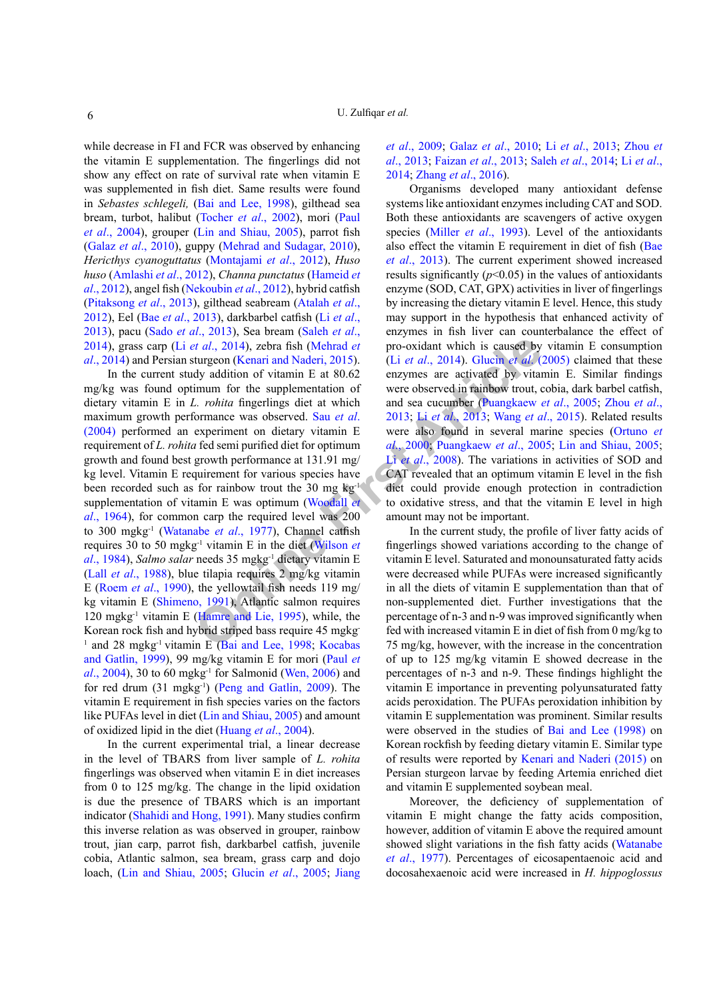while decrease in FI and FCR was observed by enhancing the vitamin E supplementation. The fingerlings did not show any effect on rate of survival rate when vitamin E was supplemented in fish diet. Same results were found in *Sebastes schlegeli,* [\(Bai and Lee, 1998](#page-6-10)), gilthead sea bream, turbot, halibut ([Tocher](#page-9-6) *et al*., 2002), mori ([Paul](#page-8-4) *et al*[., 2004](#page-8-4)), grouper [\(Lin and Shiau, 2005\)](#page-7-10), parrot fish (Galaz *et al*[., 2010\)](#page-6-3), guppy ([Mehrad and Sudagar, 2010\)](#page-8-11), *Hericthys cyanoguttatus* ([Montajami](#page-8-12) *et al*., 2012), *Huso huso* [\(Amlashi](#page-6-11) *et al*., 2012), *Channa punctatus* [\(Hameid](#page-7-11) *et al*[., 2012](#page-7-11)), angel fish [\(Nekoubin](#page-8-13) *et al*., 2012), hybrid catfish [\(Pitaksong](#page-8-14) *et al*., 2013), gilthead seabream ([Atalah](#page-6-12) *et al*., [2012\)](#page-6-12), Eel (Bae *et al*[., 2013\)](#page-6-0), darkbarbel catfish (Li *[et al](#page-7-1)*., [2013\)](#page-7-1), pacu (Sado *et al*[., 2013\)](#page-8-15), Sea bream [\(Saleh](#page-8-1) *et al*., [2014\)](#page-8-1), grass carp (Li *et al*., 2014), zebra fish (Mehrad *et al*[., 2014\)](#page-8-0) and Persian sturgeon (Kenari and Naderi, 2015).

**[On](#page-7-14)lin[e](#page-9-9) [Fir](#page-9-7)[st](#page-7-16) [Art](#page-7-1)[i](#page-8-2)[cle](#page-7-4)** In the current study addition of vitamin E at 80.62 mg/kg was found optimum for the supplementation of dietary vitamin E in *L. rohita* fingerlings diet at which maximum growth performance was observed. Sau *et al*. [\(2004\)](#page-8-9) performed an experiment on dietary vitamin E requirement of *L. rohita* fed semi purified diet for optimum growth and found best growth performance at 131.91 mg/ kg level. Vitamin E requirement for various species have been recorded such as for rainbow trout the 30 mg  $kg^{-1}$ supplementation of vitamin E was optimum (Woodall *et al*[., 1964](#page-9-7)), for common carp the required level was 200 to 300 mgkg-1 (Watanabe *et al*., 1977), Channel catfish requires 30 to 50 mgkg-1 vitamin E in the diet (Wilson *et al*[., 1984](#page-9-9)), *Salmo salar* needs 35 mgkg-1 dietary vitamin E (Lall *et al*[., 1988\)](#page-7-13), blue tilapia requires 2 mg/kg vitamin E (Roem *et al*[., 1990\)](#page-8-16), the yellowtail fish needs 119 mg/ kg vitamin E ([Shimeno, 1991\)](#page-9-10), Atlantic salmon requires 120 mgkg<sup>-1</sup> vitamin E (Hamre and Lie, 1995), while, the Korean rock fish and hybrid striped bass require 45 mgkg-<sup>1</sup> and 28 mgkg<sup>-1</sup> vitamin E (Bai and Lee, 1998; Kocabas [and Gatlin, 1999](#page-7-2)), 99 mg/kg vitamin E for mori [\(Paul](#page-8-4) *et al*[., 2004](#page-8-4)), 30 to 60 mgkg-1 for Salmonid ([Wen, 2006\)](#page-9-11) and for red drum (31 mgkg<sup>-1</sup>) [\(Peng and Gatlin, 2009](#page-8-3)). The vitamin E requirement in fish species varies on the factors like PUFAs level in diet [\(Lin and Shiau, 2005](#page-7-10)) and amount of oxidized lipid in the diet [\(Huang](#page-7-15) *et al*., 2004).

In the current experimental trial, a linear decrease in the level of TBARS from liver sample of *L. rohita* fingerlings was observed when vitamin E in diet increases from 0 to 125 mg/kg. The change in the lipid oxidation is due the presence of TBARS which is an important indicator ([Shahidi and Hong, 1991](#page-8-17)). Many studies confirm this inverse relation as was observed in grouper, rainbow trout, jian carp, parrot fish, darkbarbel catfish, juvenile cobia, Atlantic salmon, sea bream, grass carp and dojo loach, [\(Lin and Shiau, 2005](#page-7-10); [Glucin](#page-7-4) *et al*., 2005; [Jiang](#page-7-3) *et al*[., 2009](#page-7-3); Galaz *et al*[., 2010](#page-6-3); Li *et al*[., 2013](#page-7-1); [Zhou](#page-9-12) *et al*[., 2013](#page-9-12); [Faizan](#page-6-13) *et al*., 2013; Saleh *et al*[., 2014](#page-8-1); Li *[et al](#page-7-0)*., [2014](#page-7-0); [Zhang](#page-9-3) *et al*., 2016).

Organisms developed many antioxidant defense systems like antioxidant enzymes including CAT and SOD. Both these antioxidants are scavengers of active oxygen species (Miller *et al*[., 1993](#page-8-6)). Level of the antioxidants also effect the vitamin E requirement in diet of fish [\(Bae](#page-6-0)  *et al*[., 2013\)](#page-6-0). The current experiment showed increased results significantly  $(p<0.05)$  in the values of antioxidants enzyme (SOD, CAT, GPX) activities in liver of fingerlings by increasing the dietary vitamin E level. Hence, this study may support in the hypothesis that enhanced activity of enzymes in fish liver can counterbalance the effect of pro-oxidant which is caused by vitamin E consumption (Li *et al*., 2014). Glucin *et al*. (2005) claimed that these enzymes are activated by vitamin E. Similar findings were observed in rainbow trout, cobia, dark barbel catfish, and sea cucumber (Puangkaew *et al*., 2005; [Zhou](#page-9-12) *et al*., 2013; Li *et al*., 2013; Wang *et al*., 2015). Related results were also found in several marine species [\(Ortuno](#page-8-18) *et al*., 2000; Puangkaew *et al*., 2005; [Lin and Shiau, 2005](#page-7-10); Li *et al.*, 2008). The variations in activities of SOD and CAT revealed that an optimum vitamin E level in the fish diet could provide enough protection in contradiction to oxidative stress, and that the vitamin E level in high amount may not be important.

In the current study, the profile of liver fatty acids of fingerlings showed variations according to the change of vitamin E level. Saturated and monounsaturated fatty acids were decreased while PUFAs were increased significantly in all the diets of vitamin E supplementation than that of non-supplemented diet. Further investigations that the percentage of n-3 and n-9 was improved significantly when fed with increased vitamin E in diet of fish from 0 mg/kg to 75 mg/kg, however, with the increase in the concentration of up to 125 mg/kg vitamin E showed decrease in the percentages of n-3 and n-9. These findings highlight the vitamin E importance in preventing polyunsaturated fatty acids peroxidation. The PUFAs peroxidation inhibition by vitamin E supplementation was prominent. Similar results were observed in the studies of [Bai and Lee \(1998\)](#page-6-10) on Korean rockfish by feeding dietary vitamin E. Similar type of results were reported by [Kenari and Naderi \(2015\)](#page-7-12) on Persian sturgeon larvae by feeding Artemia enriched diet and vitamin E supplemented soybean meal.

Moreover, the deficiency of supplementation of vitamin E might change the fatty acids composition, however, addition of vitamin E above the required amount showed slight variations in the fish fatty acids ([Watanabe](#page-9-8)  *et al*[., 1977](#page-9-8)). Percentages of eicosapentaenoic acid and docosahexaenoic acid were increased in *H. hippoglossus*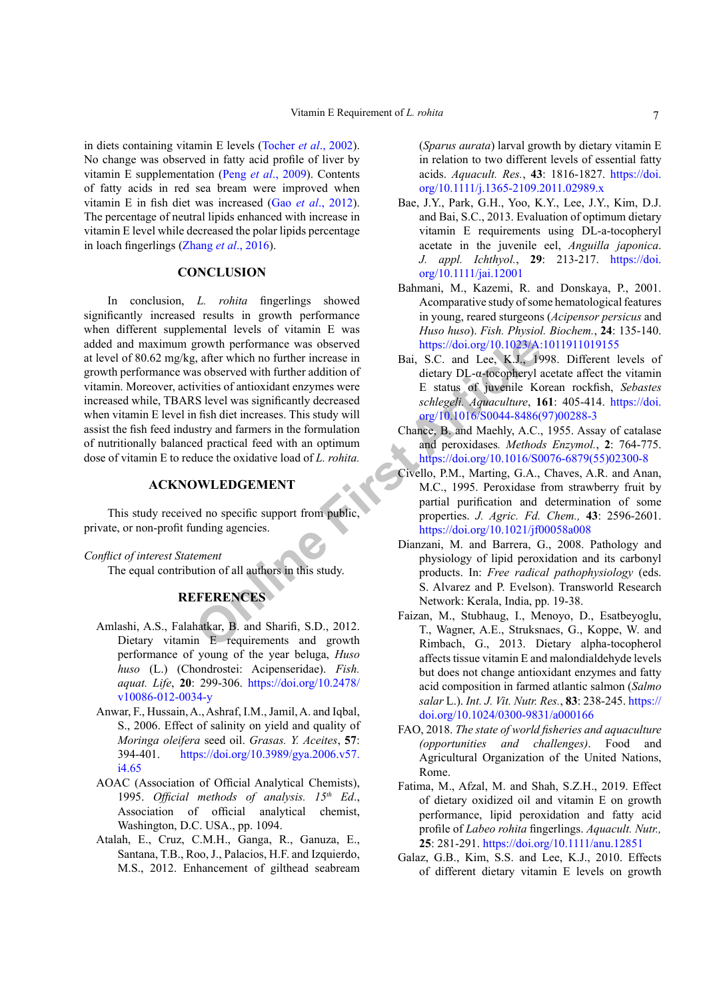in diets containing vitamin E levels ([Tocher](#page-9-6) *et al*., 2002). No change was observed in fatty acid profile of liver by vitamin E supplementation (Peng *et al*[., 2009](#page-8-19)). Contents of fatty acids in red sea bream were improved when vitamin E in fish diet was increased (Gao *et al*[., 2012](#page-7-17)). The percentage of neutral lipids enhanced with increase in vitamin E level while decreased the polar lipids percentage in loach fingerlings ([Zhang](#page-9-3) *et al*., 2016).

# **CONCLUSION**

EXAMELY THE MENTIFUS AND HIM STATE CONDUCTS AND HAND TRIGGAN TRIGGAN TRIGGAN TRIGGAN TRIGGAN TRIGGAN TRIGGAN TRIGGAN TRIGGAN TRIGGAN TRIGGAN TRIGGAN TRIGGAN TRIGGAN TRIGGAN TRIGGAN TRIGGAN TRIGGAN TRIGGAN TRIGGAN TRIGGAN T In conclusion, *L. rohita* fingerlings showed significantly increased results in growth performance when different supplemental levels of vitamin E was added and maximum growth performance was observed at level of 80.62 mg/kg, after which no further increase in growth performance was observed with further addition of vitamin. Moreover, activities of antioxidant enzymes were increased while, TBARS level was significantly decreased when vitamin E level in fish diet increases. This study will assist the fish feed industry and farmers in the formulation of nutritionally balanced practical feed with an optimum dose of vitamin E to reduce the oxidative load of *L. rohita.*

## **ACKNOWLEDGEMENT**

This study received no specific support from public, private, or non-profit funding agencies.

*Conflict of interest Statement*

The equal contribution of all authors in this study.

# **REFERENCES**

- <span id="page-6-11"></span>Amlashi, A.S., Falahatkar, B. and Sharifi, S.D., 2012. Dietary vitamin E requirements and growth performance of young of the year beluga, *Huso huso* (L.) (Chondrostei: Acipenseridae). *Fish. aquat. Life*, **20**: 299-306. [https://doi.org/10.2478/](https://doi.org/10.2478/v10086-012-0034-y) [v10086-012-0034-y](https://doi.org/10.2478/v10086-012-0034-y)
- <span id="page-6-9"></span>Anwar, F., Hussain, A., Ashraf, I.M., Jamil, A. and Iqbal, S., 2006. Effect of salinity on yield and quality of *Moringa oleifera* seed oil. *Grasas. Y. Aceites*, **57**: 394-401. [https://doi.org/10.3989/gya.2006.v57.](https://doi.org/10.3989/gya.2006.v57.i4.65) [i4.65](https://doi.org/10.3989/gya.2006.v57.i4.65)
- <span id="page-6-6"></span>AOAC (Association of Official Analytical Chemists), 1995. *Official methods of analysis. 15th Ed*., Association of official analytical chemist, Washington, D.C. USA., pp. 1094.
- <span id="page-6-12"></span>Atalah, E., Cruz, C.M.H., Ganga, R., Ganuza, E., Santana, T.B., Roo, J., Palacios, H.F. and Izquierdo, M.S., 2012. Enhancement of gilthead seabream

(*Sparus aurata*) larval growth by dietary vitamin E in relation to two different levels of essential fatty acids. *Aquacult. Res.*, **43**: 1816-1827. [https://doi.](https://doi.org/10.1111/j.1365-2109.2011.02989.x) [org/10.1111/j.1365-2109.2011.02989.x](https://doi.org/10.1111/j.1365-2109.2011.02989.x)

- <span id="page-6-0"></span>Bae, J.Y., Park, G.H., Yoo, K.Y., Lee, J.Y., Kim, D.J. and Bai, S.C., 2013. Evaluation of optimum dietary vitamin E requirements using DL-a-tocopheryl acetate in the juvenile eel, *Anguilla japonica*. *J. appl. Ichthyol.*, **29**: 213-217. [https://doi.](https://doi.org/10.1111/jai.12001) [org/10.1111/jai.12001](https://doi.org/10.1111/jai.12001)
- <span id="page-6-2"></span>Bahmani, M., Kazemi, R. and Donskaya, P., 2001. Acomparative study of some hematological features in young, reared sturgeons (*Acipensor persicus* and *Huso huso*). *Fish. Physiol. Biochem.*, **24**: 135-140. <https://doi.org/10.1023/A:1011911019155>
- <span id="page-6-10"></span>Bai, S.C. and Lee, K.J., 1998. Different levels of dietary DL-α-tocopheryl acetate affect the vitamin E status of juvenile Korean rockfish, *Sebastes schlegeli. Aquaculture*, **161**: 405-414. [https://doi.](https://doi.org/10.1016/S0044-8486(97)00288-3) [org/10.1016/S0044-8486\(97\)00288-3](https://doi.org/10.1016/S0044-8486(97)00288-3)
- <span id="page-6-7"></span>Chance, B. and Maehly, A.C., 1955. Assay of catalase and peroxidases*. Methods Enzymol.*, **2**: 764-775. [https://doi.org/10.1016/S0076-6879\(55\)02300-8](https://doi.org/10.1016/S0076-6879(55)02300-8)
- <span id="page-6-8"></span>Civello, P.M., Marting, G.A., Chaves, A.R. and Anan, M.C., 1995. Peroxidase from strawberry fruit by partial purification and determination of some properties. *J. Agric. Fd. Chem.,* **43**: 2596-2601. <https://doi.org/10.1021/jf00058a008>
- <span id="page-6-1"></span>Dianzani, M. and Barrera, G., 2008. Pathology and physiology of lipid peroxidation and its carbonyl products. In: *Free radical pathophysiology* (eds. S. Alvarez and P. Evelson). Transworld Research Network: Kerala, India, pp. 19-38.
- <span id="page-6-13"></span>Faizan, M., Stubhaug, I., Menoyo, D., Esatbeyoglu, T., Wagner, A.E., Struksnaes, G., Koppe, W. and Rimbach, G., 2013. Dietary alpha-tocopherol affects tissue vitamin E and malondialdehyde levels but does not change antioxidant enzymes and fatty acid composition in farmed atlantic salmon (*Salmo salar* L.). *Int. J. Vit. Nutr. Res.*, **83**: 238-245. [https://](https://doi.org/10.1024/0300-9831/a000166) [doi.org/10.1024/0300-9831/a000166](https://doi.org/10.1024/0300-9831/a000166)
- <span id="page-6-4"></span>FAO, 2018. *The state of world fisheries and aquaculture (opportunities and challenges)*. Food and Agricultural Organization of the United Nations, Rome.
- <span id="page-6-5"></span>Fatima, M., Afzal, M. and Shah, S.Z.H., 2019. Effect of dietary oxidized oil and vitamin E on growth performance, lipid peroxidation and fatty acid profile of *Labeo rohita* fingerlings. *Aquacult. Nutr.,* **25**: 281-291. <https://doi.org/10.1111/anu.12851>
- <span id="page-6-3"></span>Galaz, G.B., Kim, S.S. and Lee, K.J., 2010. Effects of different dietary vitamin E levels on growth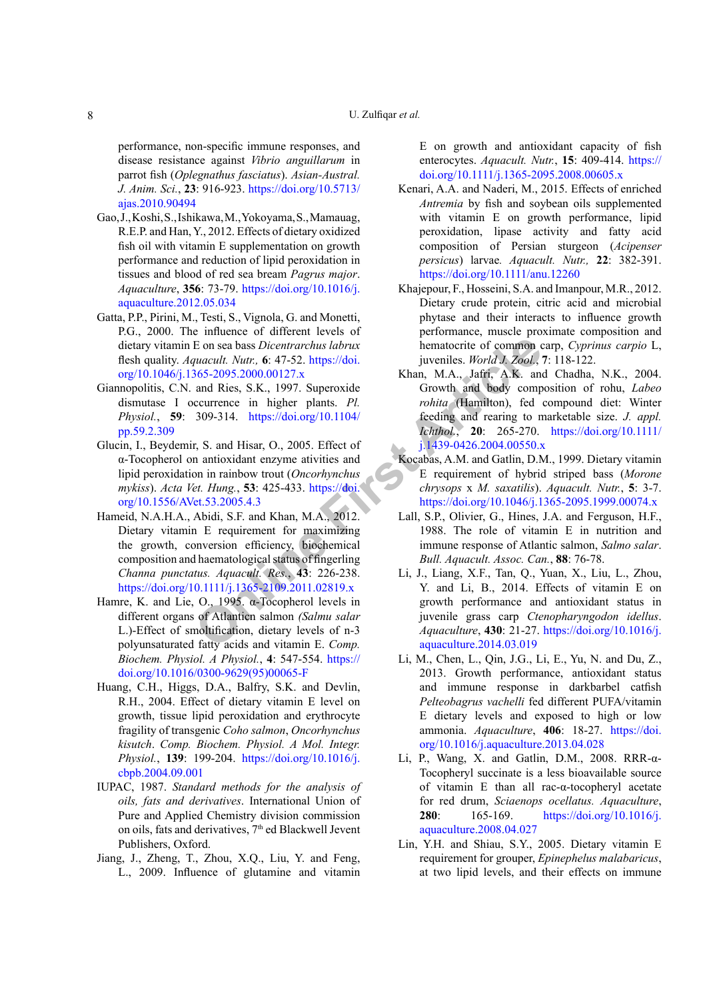performance, non-specific immune responses, and disease resistance against *Vibrio anguillarum* in parrot fish (*Oplegnathus fasciatus*). *Asian-Austral. J. Anim. Sci.*, **23**: 916-923. [https://doi.org/10.5713/](https://doi.org/10.5713/ajas.2010.90494) [ajas.2010.90494](https://doi.org/10.5713/ajas.2010.90494)

- <span id="page-7-17"></span>Gao, J., Koshi, S., Ishikawa, M., Yokoyama, S., Mamauag, R.E.P. and Han, Y., 2012. Effects of dietary oxidized fish oil with vitamin E supplementation on growth performance and reduction of lipid peroxidation in tissues and blood of red sea bream *Pagrus major*. *Aquaculture*, **356**: 73-79. [https://doi.org/10.1016/j.](https://doi.org/10.1016/j.aquaculture.2012.05.034) [aquaculture.2012.05.034](https://doi.org/10.1016/j.aquaculture.2012.05.034)
- <span id="page-7-9"></span>Gatta, P.P., Pirini, M., Testi, S., Vignola, G. and Monetti, P.G., 2000. The influence of different levels of dietary vitamin E on sea bass *Dicentrarchus labrux* flesh quality. *Aquacult. Nutr.,* **6**: 47-52. https://doi. [org/10.1046/j.1365-2095.2000.00127.x](https://doi.org/10.1046/j.1365-2095.2000.00127.x)
- <span id="page-7-7"></span>Giannopolitis, C.N. and Ries, S.K., 1997. Superoxide dismutase I occurrence in higher plants. *Pl. Physiol.*, **59**: 309-314. https://doi.org/10.1104/ [pp.59.2.309](https://doi.org/10.1104/pp.59.2.309)
- <span id="page-7-11"></span><span id="page-7-4"></span>Glucin, I., Beydemir, S. and Hisar, O., 2005. Effect of α-Tocopherol on antioxidant enzyme ativities and lipid peroxidation in rainbow trout (*Oncorhynchus mykiss*). *Acta Vet. Hung.*, **53**: 425-433. https://doi. [org/10.1556/AVet.53.2005.4.3](https://doi.org/10.1556/AVet.53.2005.4.3)
- **E** on sea bass *Dicen[t](https://doi.org/10.1111/j.1439-0426.2004.00550.x)rarchus labrux*<br> *Puacult. Nutr.*, 6: 47-52. https://doi. juveniles. *World J. Zool.*,<br>  $365-2095.2000.00127.x$ <br> **Example plants.** Pl. The and Ries, S.K., 1997. Superoxide<br> **Controlline plants.** Pl. Hameid, N.A.H.A., Abidi, S.F. and Khan, M.A., 2012. Dietary vitamin E requirement for maximizing the growth, conversion efficiency, biochemical composition and haematological status of fingerling *Channa punctatus. Aquacult. Res.*, **43**: 226-238. <https://doi.org/10.1111/j.1365-2109.2011.02819.x>
- <span id="page-7-14"></span>Hamre, K. and Lie, O., 1995. α-Tocopherol levels in different organs of Atlanticn salmon *(Salmu salar* L.)-Effect of smoltification, dietary levels of n-3 polyunsaturated fatty acids and vitamin E. *Comp. Biochem. Physiol. A Physiol.*, **4**: 547-554. [https://](https://doi.org/10.1016/0300-9629(95)00065-F) [doi.org/10.1016/0300-9629\(95\)00065-F](https://doi.org/10.1016/0300-9629(95)00065-F)
- <span id="page-7-15"></span>Huang, C.H., Higgs, D.A., Balfry, S.K. and Devlin, R.H., 2004. Effect of dietary vitamin E level on growth, tissue lipid peroxidation and erythrocyte fragility of transgenic *Coho salmon*, *Oncorhynchus kisutch*. *Comp. Biochem. Physiol. A Mol. Integr. Physiol.*, **139**: 199-204. [https://doi.org/10.1016/j.](https://doi.org/10.1016/j.cbpb.2004.09.001) [cbpb.2004.09.001](https://doi.org/10.1016/j.cbpb.2004.09.001)
- <span id="page-7-8"></span>IUPAC, 1987. *Standard methods for the analysis of oils, fats and derivatives*. International Union of Pure and Applied Chemistry division commission on oils, fats and derivatives,  $7<sup>th</sup>$  ed Blackwell Jevent Publishers, Oxford.
- <span id="page-7-3"></span>Jiang, J., Zheng, T., Zhou, X.Q., Liu, Y. and Feng, L., 2009. Influence of glutamine and vitamin

E on growth and antioxidant capacity of fish enterocytes. *Aquacult. Nutr.*, **15**: 409-414. [https://](https://doi.org/10.1111/j.1365-2095.2008.00605.x) [doi.org/10.1111/j.1365-2095.2008.00605.x](https://doi.org/10.1111/j.1365-2095.2008.00605.x)

- <span id="page-7-12"></span>Kenari, A.A. and Naderi, M., 2015. Effects of enriched *Antremia* by fish and soybean oils supplemented with vitamin E on growth performance, lipid peroxidation, lipase activity and fatty acid composition of Persian sturgeon (*Acipenser persicus*) larvae*. Aquacult. Nutr.,* **22**: 382-391. <https://doi.org/10.1111/anu.12260>
- <span id="page-7-6"></span>Khajepour, F., Hosseini, S.A. and Imanpour, M.R., 2012. Dietary crude protein, citric acid and microbial phytase and their interacts to influence growth performance, muscle proximate composition and hematocrite of common carp, *Cyprinus carpio* L, juveniles. *World J. Zool.*, **7**: 118-122.
- <span id="page-7-5"></span>Khan, M.A., Jafri, A.K. and Chadha, N.K., 2004. Growth and body composition of rohu, *Labeo rohita* (Hamilton), fed compound diet: Winter feeding and rearing to marketable size. *J. appl. Ichthol.*, **20**: 265-270. [https://doi.org/10.1111/](https://doi.org/10.1111/j.1439-0426.2004.00550.x) j.1439-0426.2004.00550.x
- <span id="page-7-2"></span>Kocabas, A.M. and Gatlin, D.M., 1999. Dietary vitamin E requirement of hybrid striped bass (*Morone chrysops* x *M. saxatilis*). *Aquacult. Nutr.*, **5**: 3-7. <https://doi.org/10.1046/j.1365-2095.1999.00074.x>
- <span id="page-7-13"></span>Lall, S.P., Olivier, G., Hines, J.A. and Ferguson, H.F., 1988. The role of vitamin E in nutrition and immune response of Atlantic salmon, *Salmo salar*. *Bull. Aquacult. Assoc. Can.*, **88**: 76-78.
- <span id="page-7-0"></span>Li, J., Liang, X.F., Tan, Q., Yuan, X., Liu, L., Zhou, Y. and Li, B., 2014. Effects of vitamin E on growth performance and antioxidant status in juvenile grass carp *Ctenopharyngodon idellus*. *Aquaculture*, **430**: 21-27. [https://doi.org/10.1016/j.](https://doi.org/10.1016/j.aquaculture.2014.03.019) aquaculture.2014.03.019
- <span id="page-7-1"></span>Li, M., Chen, L., Qin, J.G., Li, E., Yu, N. and Du, Z., 2013. Growth performance, antioxidant status and immune response in darkbarbel catfish *Pelteobagrus vachelli* fed different PUFA/vitamin E dietary levels and exposed to high or low ammonia. *Aquaculture*, **406**: 18-27. [https://doi.](https://doi.org/10.1016/j.aquaculture.2013.04.028) [org/10.1016/j.aquaculture.2013.04.028](https://doi.org/10.1016/j.aquaculture.2013.04.028)
- <span id="page-7-16"></span>Li, P., Wang, X. and Gatlin, D.M., 2008. RRR-α-Tocopheryl succinate is a less bioavailable source of vitamin E than all rac-α-tocopheryl acetate for red drum, *Sciaenops ocellatus. Aquaculture*, **280**: 165-169. [https://doi.org/10.1016/j.](https://doi.org/10.1016/j.aquaculture.2008.04.027) [aquaculture.2008.04.027](https://doi.org/10.1016/j.aquaculture.2008.04.027)
- <span id="page-7-10"></span>Lin, Y.H. and Shiau, S.Y., 2005. Dietary vitamin E requirement for grouper, *Epinephelus malabaricus*, at two lipid levels, and their effects on immune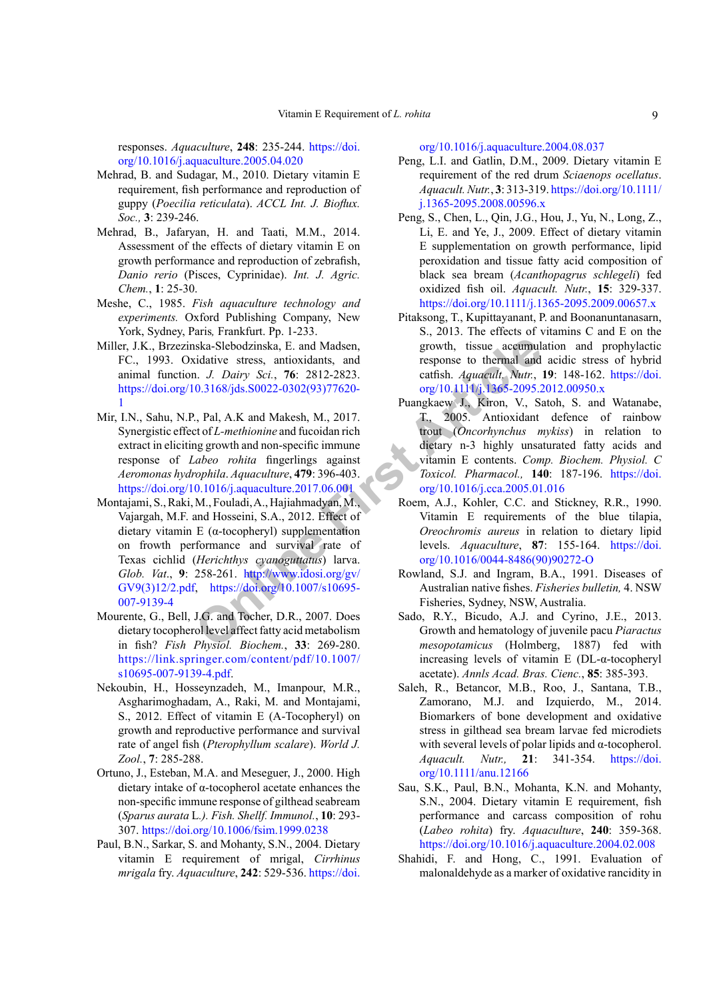responses. *Aquaculture*, **248**: 235-244. [https://doi.](https://doi.org/10.1016/j.aquaculture.2005.04.020) [org/10.1016/j.aquaculture.2005.04.020](https://doi.org/10.1016/j.aquaculture.2005.04.020)

- <span id="page-8-11"></span>Mehrad, B. and Sudagar, M., 2010. Dietary vitamin E requirement, fish performance and reproduction of guppy (*Poecilia reticulata*). *ACCL Int. J. Bioflux. Soc.,* **3**: 239-246.
- <span id="page-8-0"></span>Mehrad, B., Jafaryan, H. and Taati, M.M., 2014. Assessment of the effects of dietary vitamin E on growth performance and reproduction of zebrafish, *Danio rerio* (Pisces, Cyprinidae). *Int. J. Agric. Chem.*, **1**: 25-30.
- <span id="page-8-7"></span>Meshe, C., 1985. *Fish aquaculture technology and experiments.* Oxford Publishing Company, New York, Sydney, Paris*,* Frankfurt. Pp. 1-233.
- Miller, J.K., Brzezinska-Slebodzinska, E. and Madsen, FC., 1993. Oxidative stress, antioxidants, and animal function. *J. Dairy Sci.*, **76**: 2812-2823. [https://doi.org/10.3168/jds.S0022-0302\(93\)77620-](https://doi.org/10.3168/jds.S0022-0302(93)77620-1) [1](https://doi.org/10.3168/jds.S0022-0302(93)77620-1)
- <span id="page-8-12"></span><span id="page-8-8"></span>Mir, I.N., Sahu, N.P., Pal, A.K and Makesh, M., 2017. Synergistic effect of *L-methionine* and fucoidan rich extract in eliciting growth and non-specific immune response of *Labeo rohita* fingerlings against *Aeromonas hydrophila*. *Aquaculture*, **479**: 396-403. <https://doi.org/10.1016/j.aquaculture.2017.06.001>
- <span id="page-8-6"></span>Siska-Slebodz[in](http://www.idosi.org/gv/GV9(3)12/2.pdf)ska, E. and Madsen,<br>
idative stress, antioxidants, and<br>
idative stress, antioxidants, and<br>
idative stress, antioxidants, and<br>
considered artish. Aquacult, Nutr.,<br>
0.3168/jds.S0022-0302(93)77620-<br>
Pungkaew J Montajami, S., Raki, M., Fouladi, A., Hajiahmadyan, M., Vajargah, M.F. and Hosseini, S.A., 2012. Effect of dietary vitamin E (α-tocopheryl) supplementation on frowth performance and survival rate of Texas cichlid (*Herichthys cyanoguttatus*) larva. *Glob. Vat*., **9**: 258-261. http://www.idosi.org/gv/ [GV9\(3\)12/2.pdf](http://www.idosi.org/gv/GV9(3)12/2.pdf), https://doi.org/10.1007/s10695- [007-9139-4](https://doi.org/10.1007/s10695-007-9139-4)
- <span id="page-8-5"></span>Mourente, G., Bell, J.G. and Tocher, D.R., 2007. Does dietary tocopherol level affect fatty acid metabolism in fish? *Fish Physiol. Biochem.*, **33**: 269-280. [https://link.springer.com/content/pdf/10.1007/](https://link.springer.com/content/pdf/10.1007/s10695-007-9139-4.pdf) [s10695-007-9139-4.pdf](https://link.springer.com/content/pdf/10.1007/s10695-007-9139-4.pdf).
- <span id="page-8-13"></span>Nekoubin, H., Hosseynzadeh, M., Imanpour, M.R., Asgharimoghadam, A., Raki, M. and Montajami, S., 2012. Effect of vitamin E (A-Tocopheryl) on growth and reproductive performance and survival rate of angel fish (*Pterophyllum scalare*). *World J. Zool.*, **7**: 285-288.
- <span id="page-8-18"></span>Ortuno, J., Esteban, M.A. and Meseguer, J., 2000. High dietary intake of α-tocopherol acetate enhances the non-specific immune response of gilthead seabream (*Sparus aurata* L*.). Fish. Shellf. Immunol.*, **10**: 293- 307. <https://doi.org/10.1006/fsim.1999.0238>
- <span id="page-8-4"></span>Paul, B.N., Sarkar, S. and Mohanty, S.N., 2004. Dietary vitamin E requirement of mrigal, *Cirrhinus mrigala* fry. *Aquaculture*, **242**: 529-536. [https://doi.](https://doi.org/10.1016/j.aquaculture.2004.08.037)

[org/10.1016/j.aquaculture.2004.08.037](https://doi.org/10.1016/j.aquaculture.2004.08.037)

- <span id="page-8-3"></span>Peng, L.I. and Gatlin, D.M., 2009. Dietary vitamin E requirement of the red drum *Sciaenops ocellatus*. *Aquacult. Nutr.*, **3**: 313-319. [https://doi.org/10.1111/](https://doi.org/10.1111/j.1365-2095.2008.00596.x) [j.1365-2095.2008.00596.x](https://doi.org/10.1111/j.1365-2095.2008.00596.x)
- <span id="page-8-19"></span>Peng, S., Chen, L., Qin, J.G., Hou, J., Yu, N., Long, Z., Li, E. and Ye, J., 2009. Effect of dietary vitamin E supplementation on growth performance, lipid peroxidation and tissue fatty acid composition of black sea bream (*Acanthopagrus schlegeli*) fed oxidized fish oil. *Aquacult. Nutr.*, **15**: 329-337. <https://doi.org/10.1111/j.1365-2095.2009.00657.x>
- <span id="page-8-14"></span>Pitaksong, T., Kupittayanant, P. and Boonanuntanasarn, S., 2013. The effects of vitamins C and E on the growth, tissue accumulation and prophylactic response to thermal and acidic stress of hybrid catfish. *Aquacult. Nutr.*, **19**: 148-162. [https://doi.](https://doi.org/10.1111/j.1365-2095.2012.00950.x) [org/10.1111/j.1365-2095.2012.00950.x](https://doi.org/10.1111/j.1365-2095.2012.00950.x)
- <span id="page-8-2"></span>Puangkaew J., Kiron, V., Satoh, S. and Watanabe, T., 2005. Antioxidant defence of rainbow trout (*Oncorhynchus mykiss*) in relation to dietary n-3 highly unsaturated fatty acids and vitamin E contents. *Comp. Biochem. Physiol. C Toxicol. Pharmacol.,* **140**: 187-196. [https://doi.](https://doi.org/10.1016/j.cca.2005.01.016) org/10.1016/j.cca.2005.01.016
- <span id="page-8-16"></span>Roem, A.J., Kohler, C.C. and Stickney, R.R., 1990. Vitamin E requirements of the blue tilapia, *Oreochromis aureus* in relation to dietary lipid levels. *Aquaculture*, **87**: 155-164. [https://doi.](https://doi.org/10.1016/0044-8486(90)90272-O) [org/10.1016/0044-8486\(90\)90272-O](https://doi.org/10.1016/0044-8486(90)90272-O)
- <span id="page-8-10"></span>Rowland, S.J. and Ingram, B.A., 1991. Diseases of Australian native fishes. *Fisheries bulletin,* 4. NSW Fisheries, Sydney, NSW, Australia.
- <span id="page-8-15"></span>Sado, R.Y., Bicudo, A.J. and Cyrino, J.E., 2013. Growth and hematology of juvenile pacu *Piaractus mesopotamicus* (Holmberg, 1887) fed with increasing levels of vitamin E (DL-α-tocopheryl acetate). *Annls Acad. Bras. Cienc.*, **85**: 385-393.
- <span id="page-8-1"></span>Saleh, R., Betancor, M.B., Roo, J., Santana, T.B., Zamorano, M.J. and Izquierdo, M., 2014. Biomarkers of bone development and oxidative stress in gilthead sea bream larvae fed microdiets with several levels of polar lipids and  $\alpha$ -tocopherol. *Aquacult. Nutr.,* **21**: 341-354. [https://doi.](https://doi.org/10.1111/anu.12166) [org/10.1111/anu.12166](https://doi.org/10.1111/anu.12166)
- <span id="page-8-9"></span>Sau, S.K., Paul, B.N., Mohanta, K.N. and Mohanty, S.N., 2004. Dietary vitamin E requirement, fish performance and carcass composition of rohu (*Labeo rohita*) fry. *Aquaculture*, **240**: 359-368. <https://doi.org/10.1016/j.aquaculture.2004.02.008>
- <span id="page-8-17"></span>Shahidi, F. and Hong, C., 1991. Evaluation of malonaldehyde as a marker of oxidative rancidity in